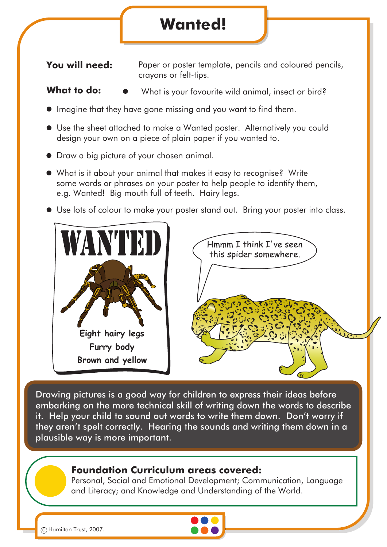## **Wanted!**

**You will need:** Paper or poster template, pencils and coloured pencils, crayons or felt-tips.

What **to do:**  $\bullet$  What is your favourite wild animal, insect or bird?

- $\bullet$  Imagine that they have gone missing and you want to find them.
- Use the sheet attached to make a Wanted poster. Alternatively you could design your own on a piece of plain paper if you wanted to.
- Draw a big picture of your chosen animal.
- What is it about your animal that makes it easy to recognise? Write some words or phrases on your poster to help people to identify them, e.g. Wanted! Big mouth full of teeth. Hairy legs.
- Use lots of colour to make your poster stand out. Bring your poster into class.





Drawing pictures is a good way for children to express their ideas before embarking on the more technical skill of writing down the words to describe it. Help your child to sound out words to write them down. Don't worry if they aren't spelt correctly. Hearing the sounds and writing them down in a plausible way is more important.

## **Foundation Curriculum areas covered:**

Personal, Social and Emotional Development; Communication, Language and Literacy; and Knowledge and Understanding of the World.



c Hamilton Trust, 2007.